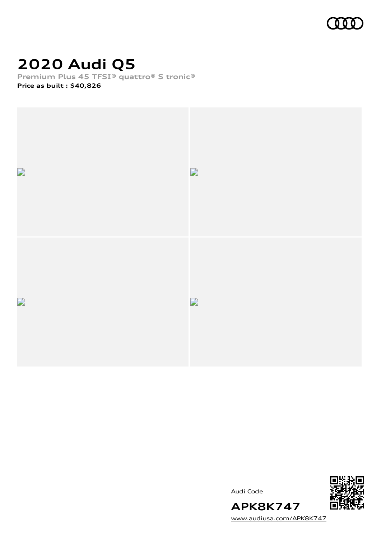

# **2020 Audi Q5**

**Premium Plus 45 TFSI® quattro® S tronic®**

**Price as built [:](#page-8-0) \$40,826**



Audi Code



[www.audiusa.com/APK8K747](https://www.audiusa.com/APK8K747)

**APK8K747**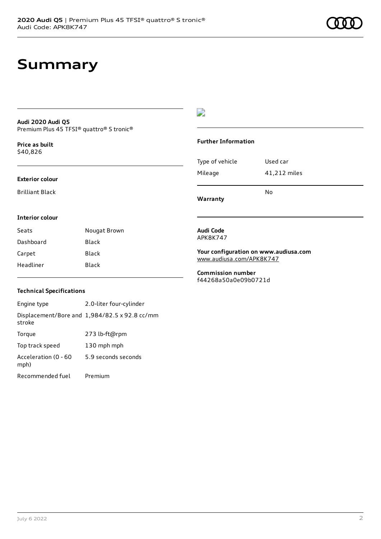#### **Audi 2020 Audi Q5** Premium Plus 45 TFSI® quattro® S tronic®

**Price as buil[t](#page-8-0)** \$40,826

#### **Exterior colour**

Brilliant Black

D

#### **Further Information**

|                 | No           |
|-----------------|--------------|
| Mileage         | 41,212 miles |
| Type of vehicle | Used car     |

**Warranty**

#### **Interior colour**

| Seats     | Nougat Brown |
|-----------|--------------|
| Dashboard | Black        |
| Carpet    | Black        |
| Headliner | Black        |

#### **Audi Code** APK8K747

**Your configuration on www.audiusa.com** [www.audiusa.com/APK8K747](https://www.audiusa.com/APK8K747)

**Commission number** f44268a50a0e09b0721d

### **Technical Specifications**

Engine type 2.0-liter four-cylinder Displacement/Bore and 1,984/82.5 x 92.8 cc/mm stroke Torque 273 lb-ft@rpm Top track speed 130 mph mph Acceleration (0 - 60 mph) 5.9 seconds seconds Recommended fuel Premium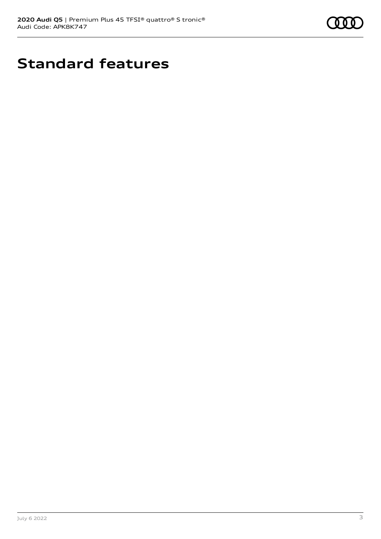

# **Standard features**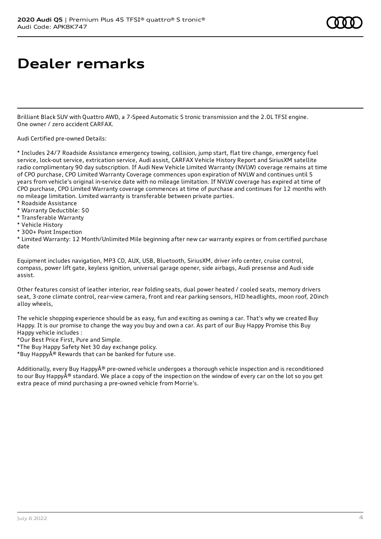### **Dealer remarks**

Brilliant Black SUV with Quattro AWD, a 7-Speed Automatic S tronic transmission and the 2.0L TFSI engine. One owner / zero accident CARFAX.

Audi Certified pre-owned Details:

\* Includes 24/7 Roadside Assistance emergency towing, collision, jump start, flat tire change, emergency fuel service, lock-out service, extrication service, Audi assist, CARFAX Vehicle History Report and SiriusXM satellite radio complimentary 90 day subscription. If Audi New Vehicle Limited Warranty (NVLW) coverage remains at time of CPO purchase, CPO Limited Warranty Coverage commences upon expiration of NVLW and continues until 5 years from vehicle's original in-service date with no mileage limitation. If NVLW coverage has expired at time of CPO purchase, CPO Limited Warranty coverage commences at time of purchase and continues for 12 months with no mileage limitation. Limited warranty is transferable between private parties.

- \* Roadside Assistance
- \* Warranty Deductible: \$0
- \* Transferable Warranty
- \* Vehicle History
- \* 300+ Point Inspection

\* Limited Warranty: 12 Month/Unlimited Mile beginning after new car warranty expires or from certified purchase date

Equipment includes navigation, MP3 CD, AUX, USB, Bluetooth, SiriusXM, driver info center, cruise control, compass, power lift gate, keyless ignition, universal garage opener, side airbags, Audi presense and Audi side assist.

Other features consist of leather interior, rear folding seats, dual power heated / cooled seats, memory drivers seat, 3-zone climate control, rear-view camera, front and rear parking sensors, HID headlights, moon roof, 20inch alloy wheels,

The vehicle shopping experience should be as easy, fun and exciting as owning a car. That's why we created Buy Happy. It is our promise to change the way you buy and own a car. As part of our Buy Happy Promise this Buy Happy vehicle includes :

\*Our Best Price First, Pure and Simple.

\*The Buy Happy Safety Net 30 day exchange policy.

\*Buy Happy $\hat{A}^{\circledast}$  Rewards that can be banked for future use.

Additionally, every Buy Happy® pre-owned vehicle undergoes a thorough vehicle inspection and is reconditioned to our Buy Happy $\hat{A}^{\circledast}$  standard. We place a copy of the inspection on the window of every car on the lot so you get extra peace of mind purchasing a pre-owned vehicle from Morrie's.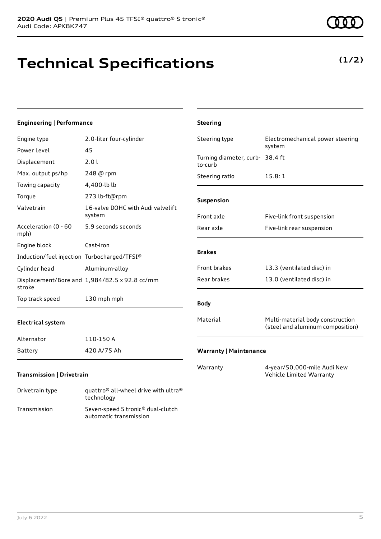## **Technical Specifications**

technology Transmission Seven-speed S tronic® dual-clutch

automatic transmission

### **Engineering | Performance**

| Engine type                                 | 2.0-liter four-cylinder                                      | Steering type                              | Electromechanical power steering                                     |
|---------------------------------------------|--------------------------------------------------------------|--------------------------------------------|----------------------------------------------------------------------|
| Power Level                                 | 45                                                           |                                            | system                                                               |
| Displacement                                | 2.0 l                                                        | Turning diameter, curb- 38.4 ft<br>to-curb |                                                                      |
| Max. output ps/hp                           | 248 @ rpm                                                    | Steering ratio                             | 15.8:1                                                               |
| Towing capacity                             | 4,400-lb lb                                                  |                                            |                                                                      |
| Torque                                      | 273 lb-ft@rpm                                                | Suspension                                 |                                                                      |
| Valvetrain                                  | 16-valve DOHC with Audi valvelift<br>system                  | Front axle                                 | Five-link front suspension                                           |
| Acceleration (0 - 60<br>mph)                | 5.9 seconds seconds                                          | Rear axle                                  | Five-link rear suspension                                            |
| Engine block                                | Cast-iron                                                    |                                            |                                                                      |
| Induction/fuel injection Turbocharged/TFSI® |                                                              | <b>Brakes</b>                              |                                                                      |
| Cylinder head                               | Aluminum-alloy                                               | Front brakes                               | 13.3 (ventilated disc) in                                            |
| stroke                                      | Displacement/Bore and 1,984/82.5 x 92.8 cc/mm                | Rear brakes                                | 13.0 (ventilated disc) in                                            |
| Top track speed                             | 130 mph mph                                                  | <b>Body</b>                                |                                                                      |
| <b>Electrical system</b>                    |                                                              | Material                                   | Multi-material body construction<br>(steel and aluminum composition) |
| Alternator                                  | 110-150 A                                                    |                                            |                                                                      |
| <b>Battery</b>                              | 420 A/75 Ah                                                  | <b>Warranty   Maintenance</b>              |                                                                      |
| <b>Transmission   Drivetrain</b>            |                                                              | Warranty                                   | 4-year/50,000-mile Audi New<br>Vehicle Limited Warranty              |
| Drivetrain type                             | quattro <sup>®</sup> all-wheel drive with ultra <sup>®</sup> |                                            |                                                                      |

**Steering**

### **(1/2)**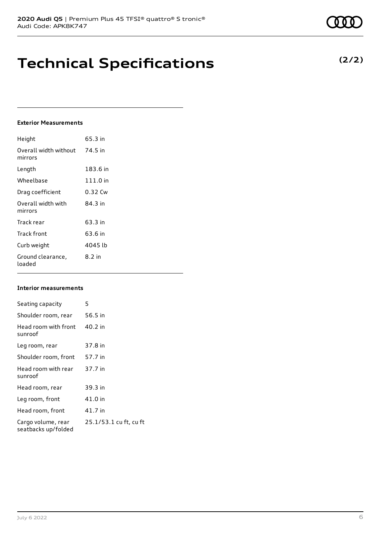### **Technical Specifications**

### **Exterior Measurements**

| Height                           | 65.3 in    |
|----------------------------------|------------|
| Overall width without<br>mirrors | 74.5 in    |
| Length                           | 183.6 in   |
| Wheelbase                        | $111.0$ in |
| Drag coefficient                 | 0.32 Cw    |
| Overall width with<br>mirrors    | 84.3 in    |
| Track rear                       | 63.3 in    |
| Track front                      | 63.6 in    |
| Curb weight                      | 4045 lb    |
| Ground clearance,<br>loaded      | 8.2 in     |

#### **Interior measurements**

| Seating capacity                          | 5                      |
|-------------------------------------------|------------------------|
| Shoulder room, rear                       | 56.5 in                |
| Head room with front<br>sunroof           | 40.2 in                |
| Leg room, rear                            | 37.8 in                |
| Shoulder room, front                      | 57.7 in                |
| Head room with rear<br>sunroof            | 37.7 in                |
| Head room, rear                           | 39.3 in                |
| Leg room, front                           | 41.0 in                |
| Head room, front                          | 41.7 in                |
| Cargo volume, rear<br>seatbacks up/folded | 25.1/53.1 cu ft, cu ft |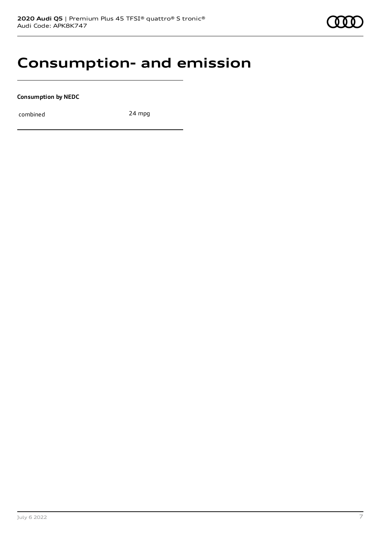### **Consumption- and emission**

**Consumption by NEDC**

combined 24 mpg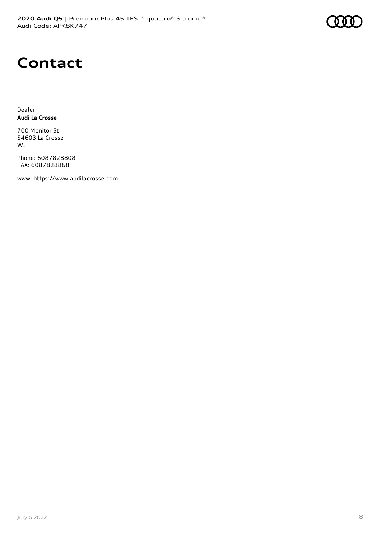### **Contact**

Dealer **Audi La Crosse**

700 Monitor St 54603 La Crosse WI

Phone: 6087828808 FAX: 6087828868

www: [https://www.audilacrosse.com](https://www.audilacrosse.com/)